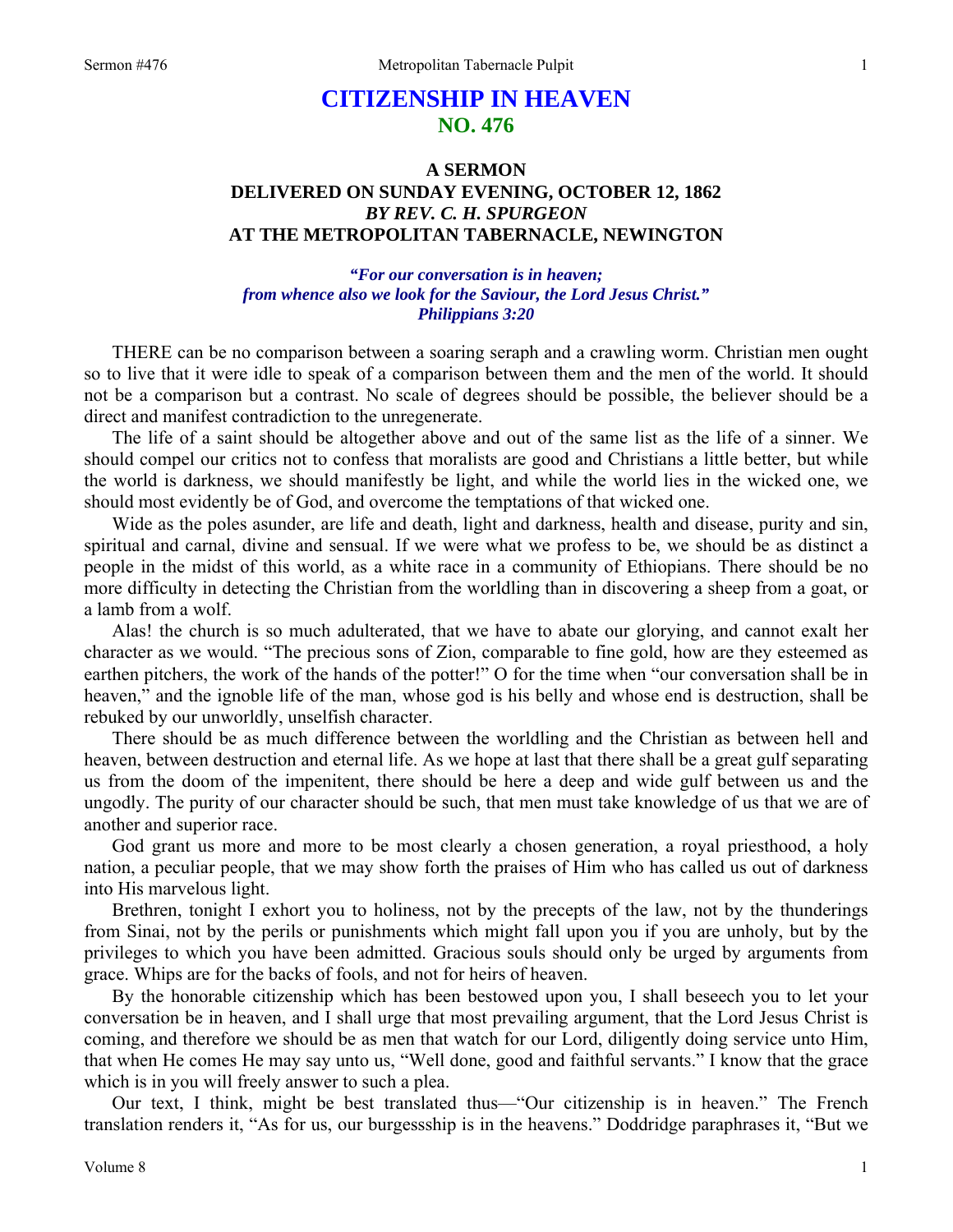# **CITIZENSHIP IN HEAVEN NO. 476**

# **A SERMON DELIVERED ON SUNDAY EVENING, OCTOBER 12, 1862**  *BY REV. C. H. SPURGEON*  **AT THE METROPOLITAN TABERNACLE, NEWINGTON**

### *"For our conversation is in heaven; from whence also we look for the Saviour, the Lord Jesus Christ." Philippians 3:20*

THERE can be no comparison between a soaring seraph and a crawling worm. Christian men ought so to live that it were idle to speak of a comparison between them and the men of the world. It should not be a comparison but a contrast. No scale of degrees should be possible, the believer should be a direct and manifest contradiction to the unregenerate.

The life of a saint should be altogether above and out of the same list as the life of a sinner. We should compel our critics not to confess that moralists are good and Christians a little better, but while the world is darkness, we should manifestly be light, and while the world lies in the wicked one, we should most evidently be of God, and overcome the temptations of that wicked one.

Wide as the poles asunder, are life and death, light and darkness, health and disease, purity and sin, spiritual and carnal, divine and sensual. If we were what we profess to be, we should be as distinct a people in the midst of this world, as a white race in a community of Ethiopians. There should be no more difficulty in detecting the Christian from the worldling than in discovering a sheep from a goat, or a lamb from a wolf.

Alas! the church is so much adulterated, that we have to abate our glorying, and cannot exalt her character as we would. "The precious sons of Zion, comparable to fine gold, how are they esteemed as earthen pitchers, the work of the hands of the potter!" O for the time when "our conversation shall be in heaven," and the ignoble life of the man, whose god is his belly and whose end is destruction, shall be rebuked by our unworldly, unselfish character.

There should be as much difference between the worldling and the Christian as between hell and heaven, between destruction and eternal life. As we hope at last that there shall be a great gulf separating us from the doom of the impenitent, there should be here a deep and wide gulf between us and the ungodly. The purity of our character should be such, that men must take knowledge of us that we are of another and superior race.

God grant us more and more to be most clearly a chosen generation, a royal priesthood, a holy nation, a peculiar people, that we may show forth the praises of Him who has called us out of darkness into His marvelous light.

Brethren, tonight I exhort you to holiness, not by the precepts of the law, not by the thunderings from Sinai, not by the perils or punishments which might fall upon you if you are unholy, but by the privileges to which you have been admitted. Gracious souls should only be urged by arguments from grace. Whips are for the backs of fools, and not for heirs of heaven.

By the honorable citizenship which has been bestowed upon you, I shall beseech you to let your conversation be in heaven, and I shall urge that most prevailing argument, that the Lord Jesus Christ is coming, and therefore we should be as men that watch for our Lord, diligently doing service unto Him, that when He comes He may say unto us, "Well done, good and faithful servants." I know that the grace which is in you will freely answer to such a plea.

Our text, I think, might be best translated thus—"Our citizenship is in heaven." The French translation renders it, "As for us, our burgessship is in the heavens." Doddridge paraphrases it, "But we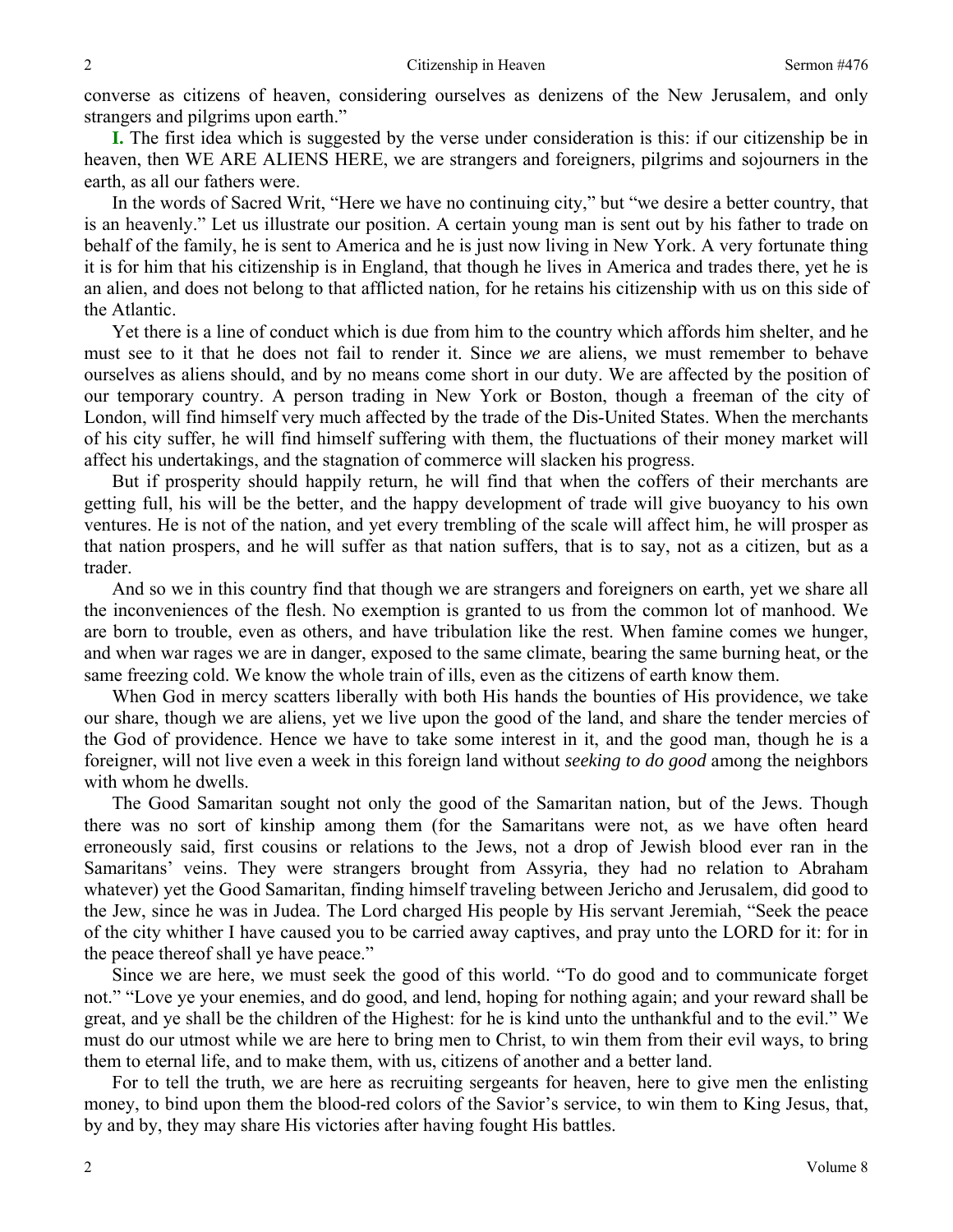converse as citizens of heaven, considering ourselves as denizens of the New Jerusalem, and only strangers and pilgrims upon earth."

**I.** The first idea which is suggested by the verse under consideration is this: if our citizenship be in heaven, then WE ARE ALIENS HERE, we are strangers and foreigners, pilgrims and sojourners in the earth, as all our fathers were.

In the words of Sacred Writ, "Here we have no continuing city," but "we desire a better country, that is an heavenly." Let us illustrate our position. A certain young man is sent out by his father to trade on behalf of the family, he is sent to America and he is just now living in New York. A very fortunate thing it is for him that his citizenship is in England, that though he lives in America and trades there, yet he is an alien, and does not belong to that afflicted nation, for he retains his citizenship with us on this side of the Atlantic.

Yet there is a line of conduct which is due from him to the country which affords him shelter, and he must see to it that he does not fail to render it. Since *we* are aliens, we must remember to behave ourselves as aliens should, and by no means come short in our duty. We are affected by the position of our temporary country. A person trading in New York or Boston, though a freeman of the city of London, will find himself very much affected by the trade of the Dis-United States. When the merchants of his city suffer, he will find himself suffering with them, the fluctuations of their money market will affect his undertakings, and the stagnation of commerce will slacken his progress.

But if prosperity should happily return, he will find that when the coffers of their merchants are getting full, his will be the better, and the happy development of trade will give buoyancy to his own ventures. He is not of the nation, and yet every trembling of the scale will affect him, he will prosper as that nation prospers, and he will suffer as that nation suffers, that is to say, not as a citizen, but as a trader.

And so we in this country find that though we are strangers and foreigners on earth, yet we share all the inconveniences of the flesh. No exemption is granted to us from the common lot of manhood. We are born to trouble, even as others, and have tribulation like the rest. When famine comes we hunger, and when war rages we are in danger, exposed to the same climate, bearing the same burning heat, or the same freezing cold. We know the whole train of ills, even as the citizens of earth know them.

When God in mercy scatters liberally with both His hands the bounties of His providence, we take our share, though we are aliens, yet we live upon the good of the land, and share the tender mercies of the God of providence. Hence we have to take some interest in it, and the good man, though he is a foreigner, will not live even a week in this foreign land without *seeking to do good* among the neighbors with whom he dwells.

The Good Samaritan sought not only the good of the Samaritan nation, but of the Jews. Though there was no sort of kinship among them (for the Samaritans were not, as we have often heard erroneously said, first cousins or relations to the Jews, not a drop of Jewish blood ever ran in the Samaritans' veins. They were strangers brought from Assyria, they had no relation to Abraham whatever) yet the Good Samaritan, finding himself traveling between Jericho and Jerusalem, did good to the Jew, since he was in Judea. The Lord charged His people by His servant Jeremiah, "Seek the peace of the city whither I have caused you to be carried away captives, and pray unto the LORD for it: for in the peace thereof shall ye have peace."

Since we are here, we must seek the good of this world. "To do good and to communicate forget not." "Love ye your enemies, and do good, and lend, hoping for nothing again; and your reward shall be great, and ye shall be the children of the Highest: for he is kind unto the unthankful and to the evil." We must do our utmost while we are here to bring men to Christ, to win them from their evil ways, to bring them to eternal life, and to make them, with us, citizens of another and a better land.

For to tell the truth, we are here as recruiting sergeants for heaven, here to give men the enlisting money, to bind upon them the blood-red colors of the Savior's service, to win them to King Jesus, that, by and by, they may share His victories after having fought His battles.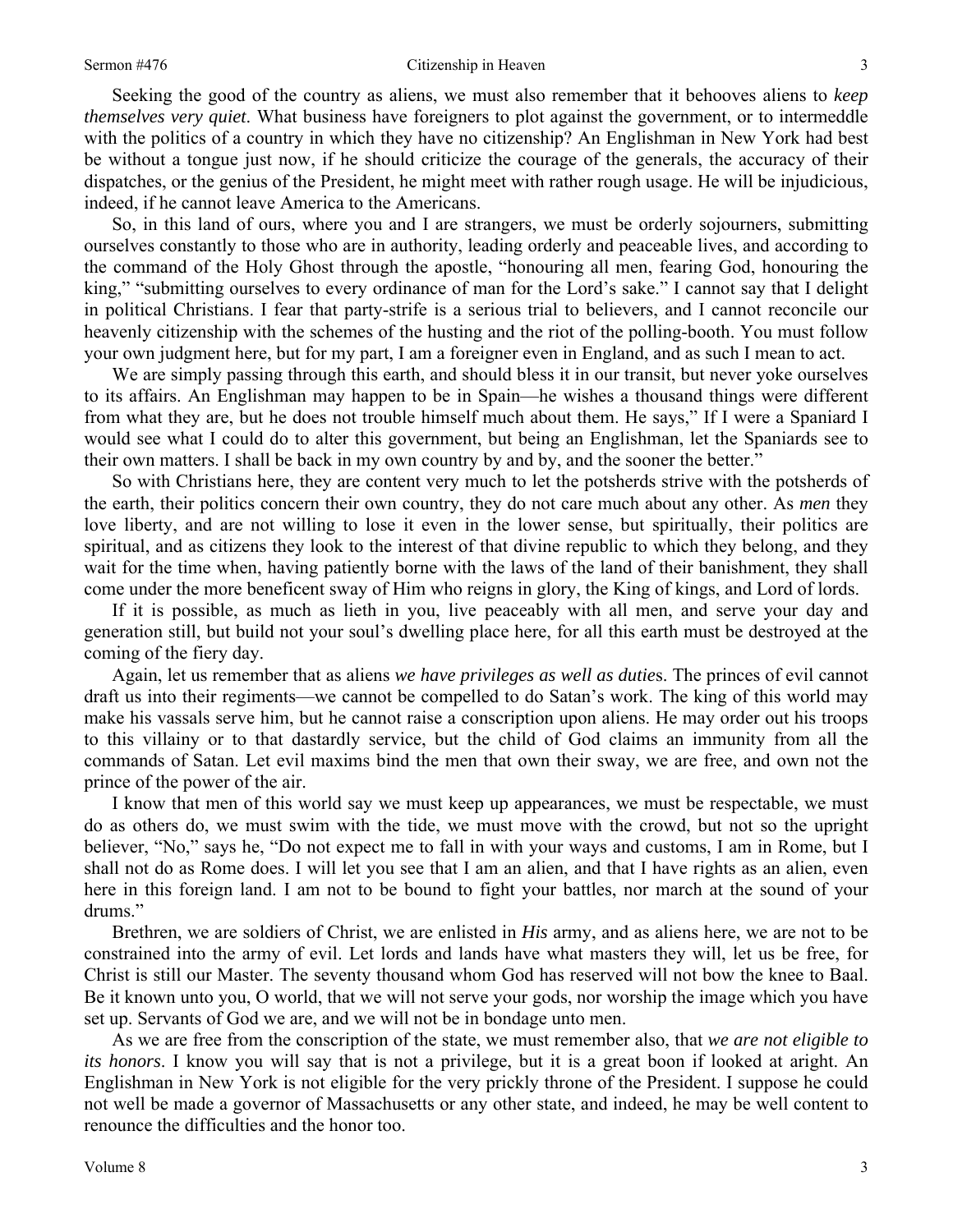#### Sermon #476 Citizenship in Heaven

Seeking the good of the country as aliens, we must also remember that it behooves aliens to *keep themselves very quiet*. What business have foreigners to plot against the government, or to intermeddle with the politics of a country in which they have no citizenship? An Englishman in New York had best be without a tongue just now, if he should criticize the courage of the generals, the accuracy of their dispatches, or the genius of the President, he might meet with rather rough usage. He will be injudicious, indeed, if he cannot leave America to the Americans.

So, in this land of ours, where you and I are strangers, we must be orderly sojourners, submitting ourselves constantly to those who are in authority, leading orderly and peaceable lives, and according to the command of the Holy Ghost through the apostle, "honouring all men, fearing God, honouring the king," "submitting ourselves to every ordinance of man for the Lord's sake." I cannot say that I delight in political Christians. I fear that party-strife is a serious trial to believers, and I cannot reconcile our heavenly citizenship with the schemes of the husting and the riot of the polling-booth. You must follow your own judgment here, but for my part, I am a foreigner even in England, and as such I mean to act.

We are simply passing through this earth, and should bless it in our transit, but never yoke ourselves to its affairs. An Englishman may happen to be in Spain—he wishes a thousand things were different from what they are, but he does not trouble himself much about them. He says," If I were a Spaniard I would see what I could do to alter this government, but being an Englishman, let the Spaniards see to their own matters. I shall be back in my own country by and by, and the sooner the better."

So with Christians here, they are content very much to let the potsherds strive with the potsherds of the earth, their politics concern their own country, they do not care much about any other. As *men* they love liberty, and are not willing to lose it even in the lower sense, but spiritually, their politics are spiritual, and as citizens they look to the interest of that divine republic to which they belong, and they wait for the time when, having patiently borne with the laws of the land of their banishment, they shall come under the more beneficent sway of Him who reigns in glory, the King of kings, and Lord of lords.

If it is possible, as much as lieth in you, live peaceably with all men, and serve your day and generation still, but build not your soul's dwelling place here, for all this earth must be destroyed at the coming of the fiery day.

Again, let us remember that as aliens *we have privileges as well as dutie*s. The princes of evil cannot draft us into their regiments—we cannot be compelled to do Satan's work. The king of this world may make his vassals serve him, but he cannot raise a conscription upon aliens. He may order out his troops to this villainy or to that dastardly service, but the child of God claims an immunity from all the commands of Satan. Let evil maxims bind the men that own their sway, we are free, and own not the prince of the power of the air.

I know that men of this world say we must keep up appearances, we must be respectable, we must do as others do, we must swim with the tide, we must move with the crowd, but not so the upright believer, "No," says he, "Do not expect me to fall in with your ways and customs, I am in Rome, but I shall not do as Rome does. I will let you see that I am an alien, and that I have rights as an alien, even here in this foreign land. I am not to be bound to fight your battles, nor march at the sound of your drums."

Brethren, we are soldiers of Christ, we are enlisted in *His* army, and as aliens here, we are not to be constrained into the army of evil. Let lords and lands have what masters they will, let us be free, for Christ is still our Master. The seventy thousand whom God has reserved will not bow the knee to Baal. Be it known unto you, O world, that we will not serve your gods, nor worship the image which you have set up. Servants of God we are, and we will not be in bondage unto men.

As we are free from the conscription of the state, we must remember also, that *we are not eligible to its honors*. I know you will say that is not a privilege, but it is a great boon if looked at aright. An Englishman in New York is not eligible for the very prickly throne of the President. I suppose he could not well be made a governor of Massachusetts or any other state, and indeed, he may be well content to renounce the difficulties and the honor too.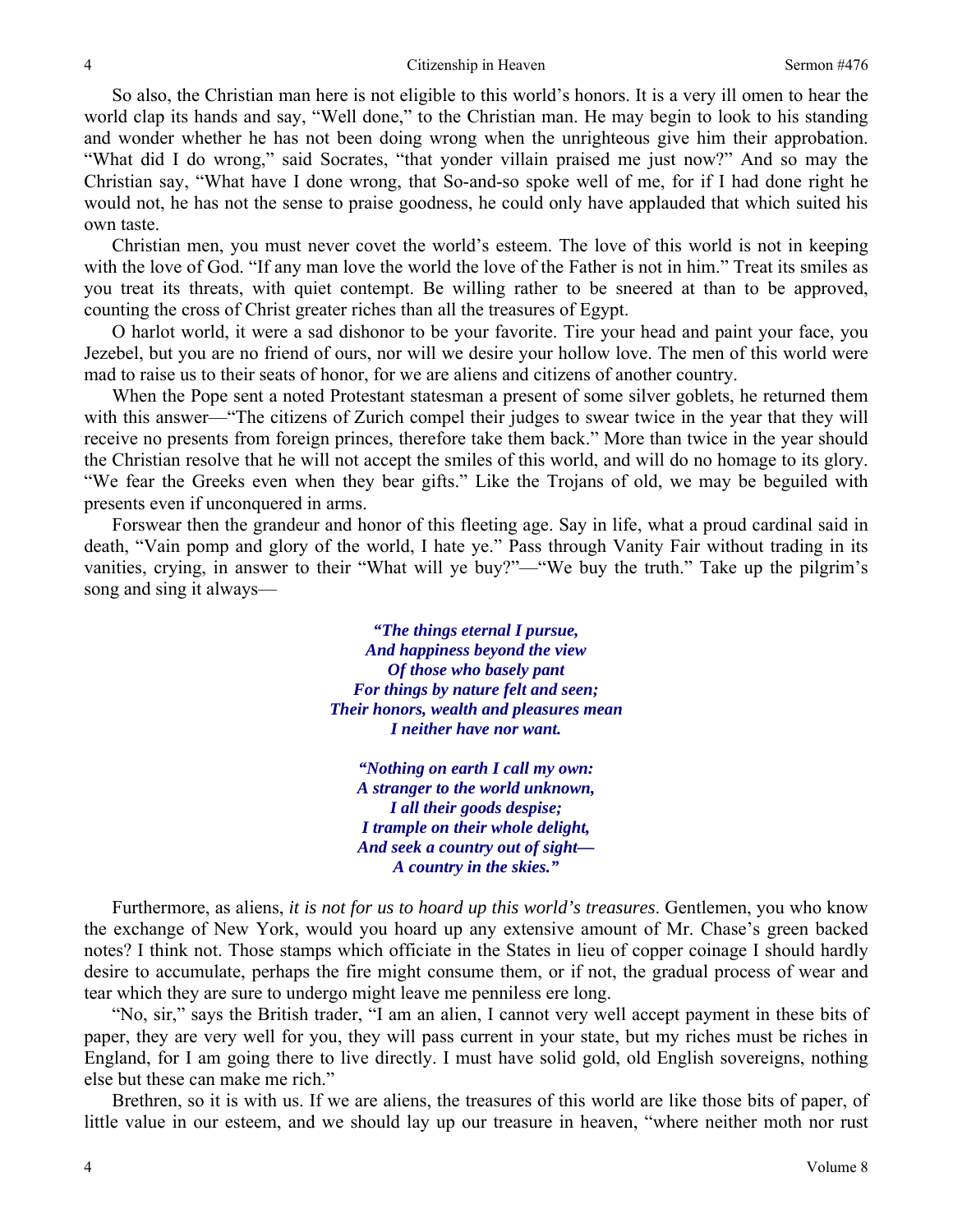So also, the Christian man here is not eligible to this world's honors. It is a very ill omen to hear the world clap its hands and say, "Well done," to the Christian man. He may begin to look to his standing and wonder whether he has not been doing wrong when the unrighteous give him their approbation. "What did I do wrong," said Socrates, "that yonder villain praised me just now?" And so may the Christian say, "What have I done wrong, that So-and-so spoke well of me, for if I had done right he would not, he has not the sense to praise goodness, he could only have applauded that which suited his own taste.

Christian men, you must never covet the world's esteem. The love of this world is not in keeping with the love of God. "If any man love the world the love of the Father is not in him." Treat its smiles as you treat its threats, with quiet contempt. Be willing rather to be sneered at than to be approved, counting the cross of Christ greater riches than all the treasures of Egypt.

O harlot world, it were a sad dishonor to be your favorite. Tire your head and paint your face, you Jezebel, but you are no friend of ours, nor will we desire your hollow love. The men of this world were mad to raise us to their seats of honor, for we are aliens and citizens of another country.

When the Pope sent a noted Protestant statesman a present of some silver goblets, he returned them with this answer—"The citizens of Zurich compel their judges to swear twice in the year that they will receive no presents from foreign princes, therefore take them back." More than twice in the year should the Christian resolve that he will not accept the smiles of this world, and will do no homage to its glory. "We fear the Greeks even when they bear gifts." Like the Trojans of old, we may be beguiled with presents even if unconquered in arms.

Forswear then the grandeur and honor of this fleeting age. Say in life, what a proud cardinal said in death, "Vain pomp and glory of the world, I hate ye." Pass through Vanity Fair without trading in its vanities, crying, in answer to their "What will ye buy?"—"We buy the truth." Take up the pilgrim's song and sing it always—

> *"The things eternal I pursue, And happiness beyond the view Of those who basely pant For things by nature felt and seen; Their honors, wealth and pleasures mean I neither have nor want.*

*"Nothing on earth I call my own: A stranger to the world unknown, I all their goods despise; I trample on their whole delight, And seek a country out of sight— A country in the skies."* 

Furthermore, as aliens, *it is not for us to hoard up this world's treasures*. Gentlemen, you who know the exchange of New York, would you hoard up any extensive amount of Mr. Chase's green backed notes? I think not. Those stamps which officiate in the States in lieu of copper coinage I should hardly desire to accumulate, perhaps the fire might consume them, or if not, the gradual process of wear and tear which they are sure to undergo might leave me penniless ere long.

"No, sir," says the British trader, "I am an alien, I cannot very well accept payment in these bits of paper, they are very well for you, they will pass current in your state, but my riches must be riches in England, for I am going there to live directly. I must have solid gold, old English sovereigns, nothing else but these can make me rich."

Brethren, so it is with us. If we are aliens, the treasures of this world are like those bits of paper, of little value in our esteem, and we should lay up our treasure in heaven, "where neither moth nor rust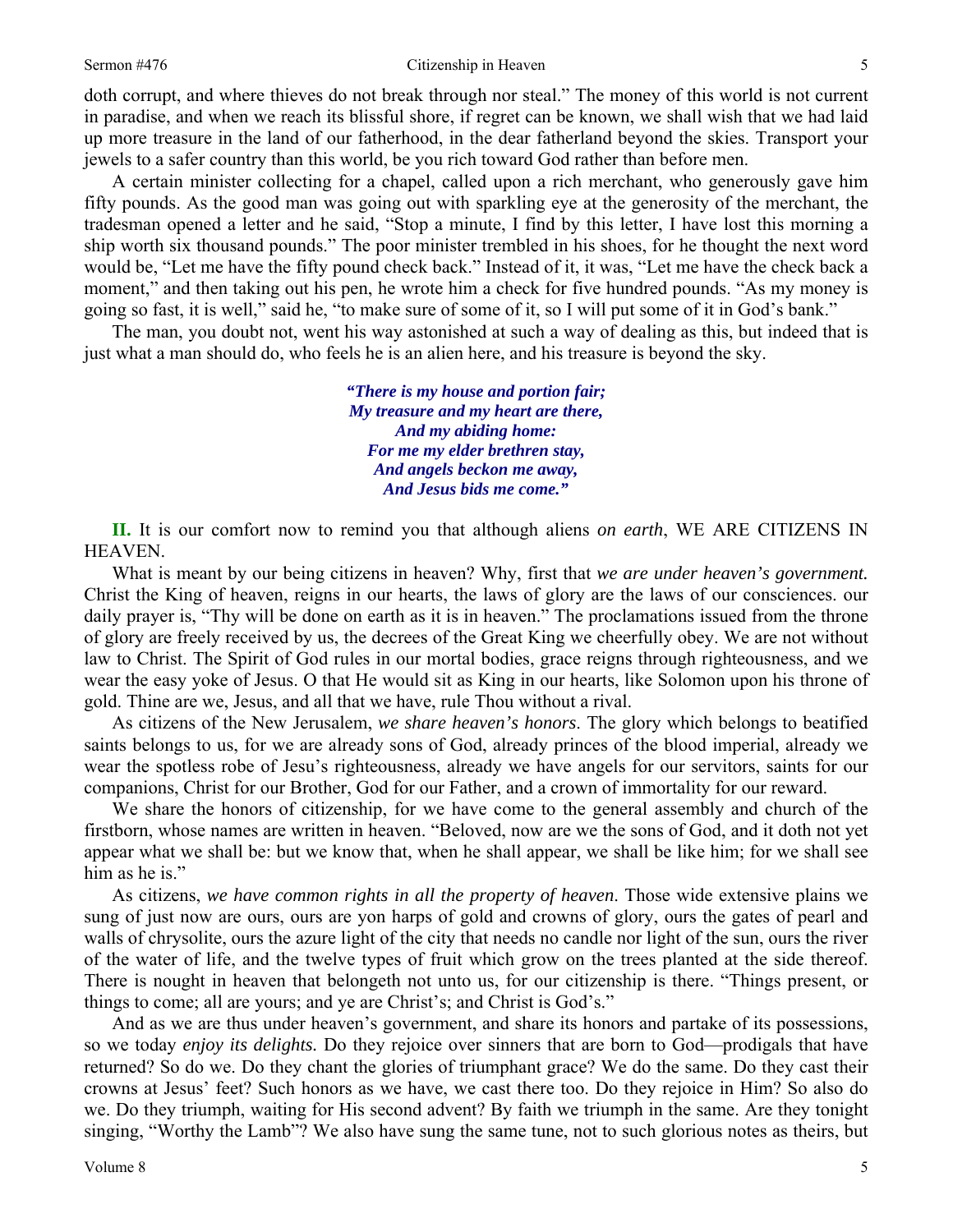#### Sermon #476 Citizenship in Heaven

doth corrupt, and where thieves do not break through nor steal." The money of this world is not current in paradise, and when we reach its blissful shore, if regret can be known, we shall wish that we had laid up more treasure in the land of our fatherhood, in the dear fatherland beyond the skies. Transport your jewels to a safer country than this world, be you rich toward God rather than before men.

A certain minister collecting for a chapel, called upon a rich merchant, who generously gave him fifty pounds. As the good man was going out with sparkling eye at the generosity of the merchant, the tradesman opened a letter and he said, "Stop a minute, I find by this letter, I have lost this morning a ship worth six thousand pounds." The poor minister trembled in his shoes, for he thought the next word would be, "Let me have the fifty pound check back." Instead of it, it was, "Let me have the check back a moment," and then taking out his pen, he wrote him a check for five hundred pounds. "As my money is going so fast, it is well," said he, "to make sure of some of it, so I will put some of it in God's bank."

The man, you doubt not, went his way astonished at such a way of dealing as this, but indeed that is just what a man should do, who feels he is an alien here, and his treasure is beyond the sky.

> *"There is my house and portion fair; My treasure and my heart are there, And my abiding home: For me my elder brethren stay, And angels beckon me away, And Jesus bids me come."*

**II.** It is our comfort now to remind you that although aliens *on earth*, WE ARE CITIZENS IN HEAVEN.

What is meant by our being citizens in heaven? Why, first that *we are under heaven's government.* Christ the King of heaven, reigns in our hearts, the laws of glory are the laws of our consciences. our daily prayer is, "Thy will be done on earth as it is in heaven." The proclamations issued from the throne of glory are freely received by us, the decrees of the Great King we cheerfully obey. We are not without law to Christ. The Spirit of God rules in our mortal bodies, grace reigns through righteousness, and we wear the easy yoke of Jesus. O that He would sit as King in our hearts, like Solomon upon his throne of gold. Thine are we, Jesus, and all that we have, rule Thou without a rival.

As citizens of the New Jerusalem, *we share heaven's honors*. The glory which belongs to beatified saints belongs to us, for we are already sons of God, already princes of the blood imperial, already we wear the spotless robe of Jesu's righteousness, already we have angels for our servitors, saints for our companions, Christ for our Brother, God for our Father, and a crown of immortality for our reward.

We share the honors of citizenship, for we have come to the general assembly and church of the firstborn, whose names are written in heaven. "Beloved, now are we the sons of God, and it doth not yet appear what we shall be: but we know that, when he shall appear, we shall be like him; for we shall see him as he is."

As citizens, *we have common rights in all the property of heaven*. Those wide extensive plains we sung of just now are ours, ours are yon harps of gold and crowns of glory, ours the gates of pearl and walls of chrysolite, ours the azure light of the city that needs no candle nor light of the sun, ours the river of the water of life, and the twelve types of fruit which grow on the trees planted at the side thereof. There is nought in heaven that belongeth not unto us, for our citizenship is there. "Things present, or things to come; all are yours; and ye are Christ's; and Christ is God's."

And as we are thus under heaven's government, and share its honors and partake of its possessions, so we today *enjoy its delights.* Do they rejoice over sinners that are born to God—prodigals that have returned? So do we. Do they chant the glories of triumphant grace? We do the same. Do they cast their crowns at Jesus' feet? Such honors as we have, we cast there too. Do they rejoice in Him? So also do we. Do they triumph, waiting for His second advent? By faith we triumph in the same. Are they tonight singing, "Worthy the Lamb"? We also have sung the same tune, not to such glorious notes as theirs, but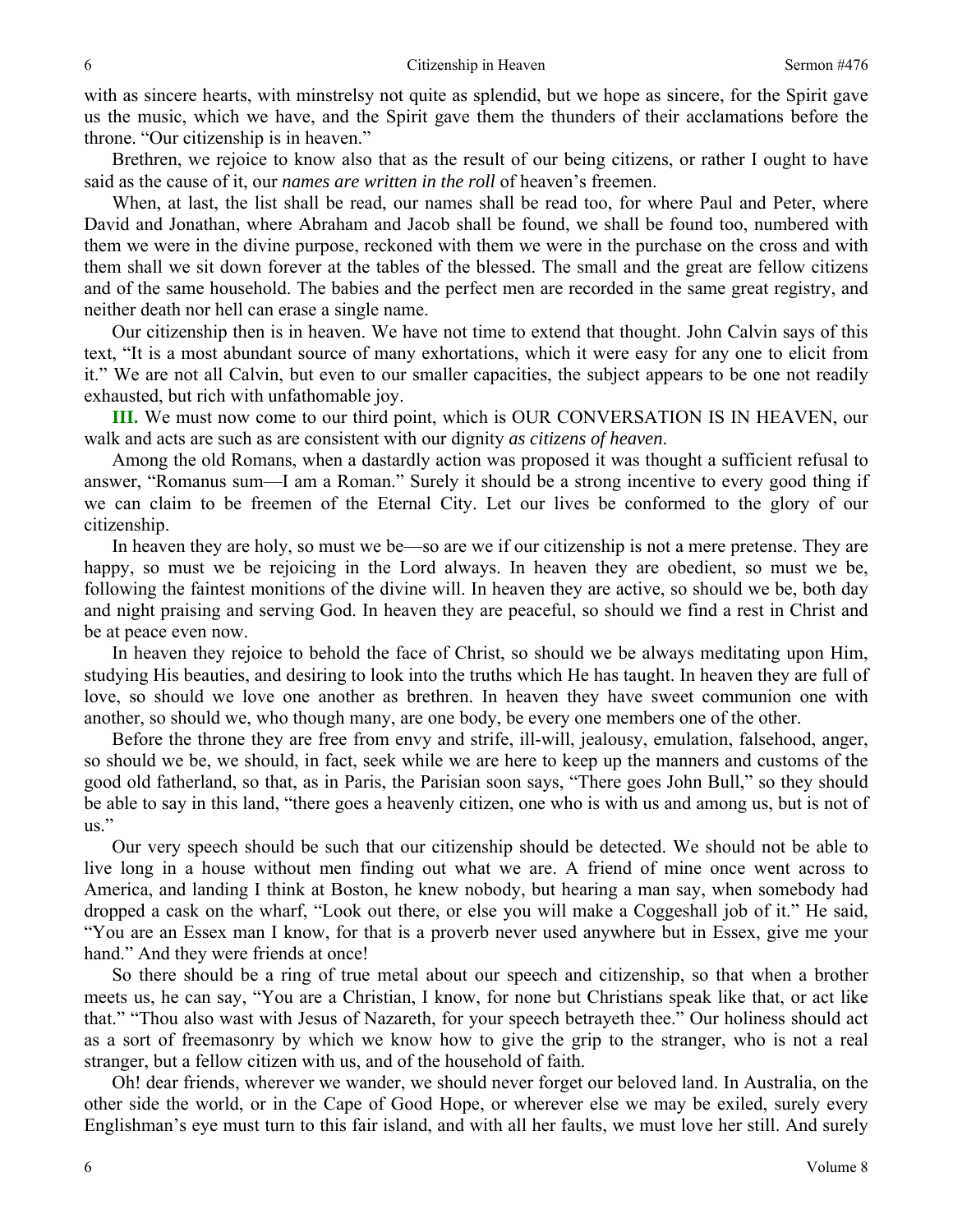with as sincere hearts, with minstrelsy not quite as splendid, but we hope as sincere, for the Spirit gave us the music, which we have, and the Spirit gave them the thunders of their acclamations before the throne. "Our citizenship is in heaven."

Brethren, we rejoice to know also that as the result of our being citizens, or rather I ought to have said as the cause of it, our *names are written in the roll* of heaven's freemen.

When, at last, the list shall be read, our names shall be read too, for where Paul and Peter, where David and Jonathan, where Abraham and Jacob shall be found, we shall be found too, numbered with them we were in the divine purpose, reckoned with them we were in the purchase on the cross and with them shall we sit down forever at the tables of the blessed. The small and the great are fellow citizens and of the same household. The babies and the perfect men are recorded in the same great registry, and neither death nor hell can erase a single name.

Our citizenship then is in heaven. We have not time to extend that thought. John Calvin says of this text, "It is a most abundant source of many exhortations, which it were easy for any one to elicit from it." We are not all Calvin, but even to our smaller capacities, the subject appears to be one not readily exhausted, but rich with unfathomable joy.

**III.** We must now come to our third point, which is OUR CONVERSATION IS IN HEAVEN, our walk and acts are such as are consistent with our dignity *as citizens of heaven*.

Among the old Romans, when a dastardly action was proposed it was thought a sufficient refusal to answer, "Romanus sum—I am a Roman." Surely it should be a strong incentive to every good thing if we can claim to be freemen of the Eternal City. Let our lives be conformed to the glory of our citizenship.

In heaven they are holy, so must we be—so are we if our citizenship is not a mere pretense. They are happy, so must we be rejoicing in the Lord always. In heaven they are obedient, so must we be, following the faintest monitions of the divine will. In heaven they are active, so should we be, both day and night praising and serving God. In heaven they are peaceful, so should we find a rest in Christ and be at peace even now.

In heaven they rejoice to behold the face of Christ, so should we be always meditating upon Him, studying His beauties, and desiring to look into the truths which He has taught. In heaven they are full of love, so should we love one another as brethren. In heaven they have sweet communion one with another, so should we, who though many, are one body, be every one members one of the other.

Before the throne they are free from envy and strife, ill-will, jealousy, emulation, falsehood, anger, so should we be, we should, in fact, seek while we are here to keep up the manners and customs of the good old fatherland, so that, as in Paris, the Parisian soon says, "There goes John Bull," so they should be able to say in this land, "there goes a heavenly citizen, one who is with us and among us, but is not of us."

Our very speech should be such that our citizenship should be detected. We should not be able to live long in a house without men finding out what we are. A friend of mine once went across to America, and landing I think at Boston, he knew nobody, but hearing a man say, when somebody had dropped a cask on the wharf, "Look out there, or else you will make a Coggeshall job of it." He said, "You are an Essex man I know, for that is a proverb never used anywhere but in Essex, give me your hand." And they were friends at once!

So there should be a ring of true metal about our speech and citizenship, so that when a brother meets us, he can say, "You are a Christian, I know, for none but Christians speak like that, or act like that." "Thou also wast with Jesus of Nazareth, for your speech betrayeth thee." Our holiness should act as a sort of freemasonry by which we know how to give the grip to the stranger, who is not a real stranger, but a fellow citizen with us, and of the household of faith.

Oh! dear friends, wherever we wander, we should never forget our beloved land. In Australia, on the other side the world, or in the Cape of Good Hope, or wherever else we may be exiled, surely every Englishman's eye must turn to this fair island, and with all her faults, we must love her still. And surely

6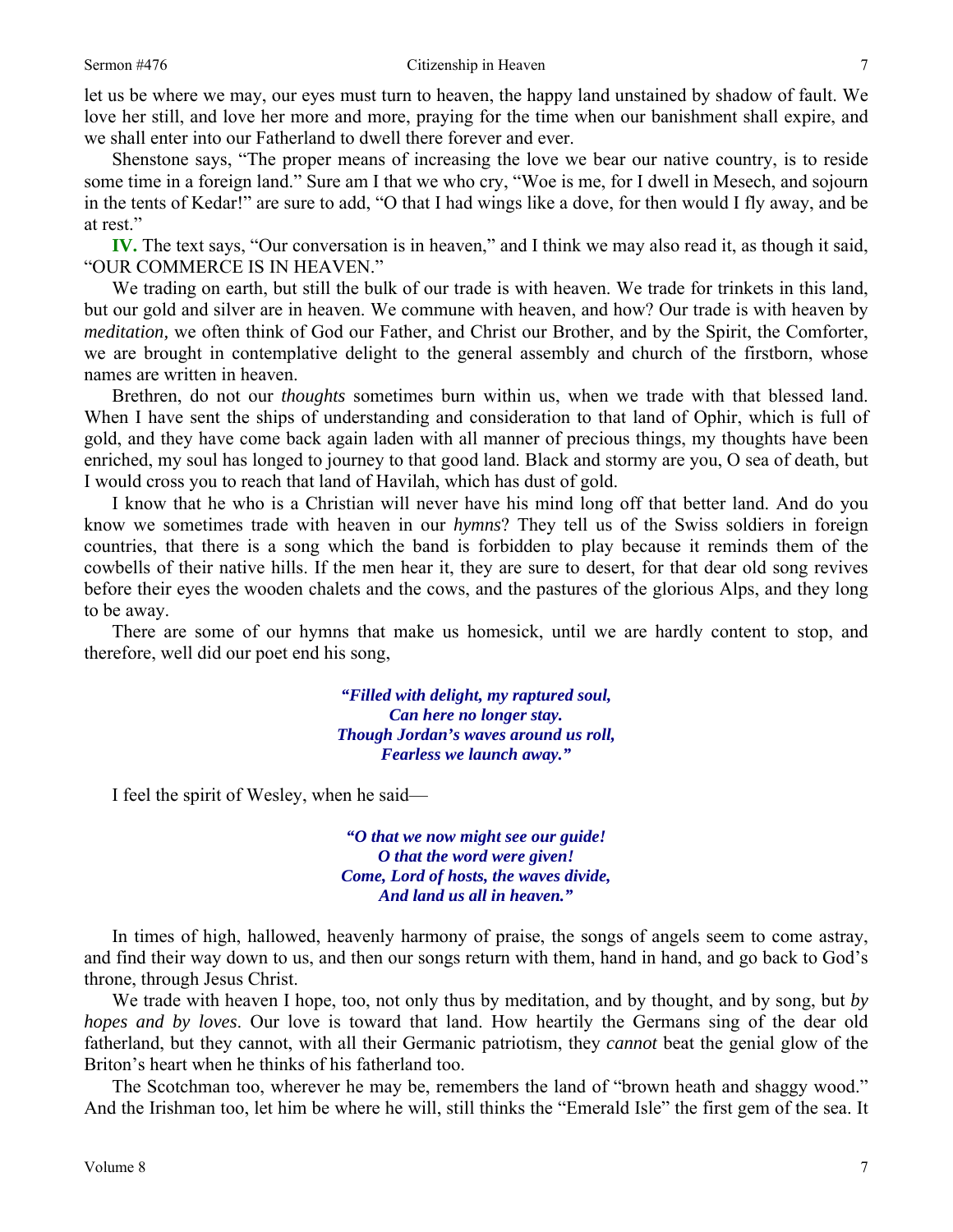let us be where we may, our eyes must turn to heaven, the happy land unstained by shadow of fault. We love her still, and love her more and more, praying for the time when our banishment shall expire, and we shall enter into our Fatherland to dwell there forever and ever.

Shenstone says, "The proper means of increasing the love we bear our native country, is to reside some time in a foreign land." Sure am I that we who cry, "Woe is me, for I dwell in Mesech, and sojourn in the tents of Kedar!" are sure to add, "O that I had wings like a dove, for then would I fly away, and be at rest."

**IV.** The text says, "Our conversation is in heaven," and I think we may also read it, as though it said, "OUR COMMERCE IS IN HEAVEN."

We trading on earth, but still the bulk of our trade is with heaven. We trade for trinkets in this land, but our gold and silver are in heaven. We commune with heaven, and how? Our trade is with heaven by *meditation,* we often think of God our Father, and Christ our Brother, and by the Spirit, the Comforter, we are brought in contemplative delight to the general assembly and church of the firstborn, whose names are written in heaven.

Brethren, do not our *thoughts* sometimes burn within us, when we trade with that blessed land. When I have sent the ships of understanding and consideration to that land of Ophir, which is full of gold, and they have come back again laden with all manner of precious things, my thoughts have been enriched, my soul has longed to journey to that good land. Black and stormy are you, O sea of death, but I would cross you to reach that land of Havilah, which has dust of gold.

I know that he who is a Christian will never have his mind long off that better land. And do you know we sometimes trade with heaven in our *hymns*? They tell us of the Swiss soldiers in foreign countries, that there is a song which the band is forbidden to play because it reminds them of the cowbells of their native hills. If the men hear it, they are sure to desert, for that dear old song revives before their eyes the wooden chalets and the cows, and the pastures of the glorious Alps, and they long to be away.

There are some of our hymns that make us homesick, until we are hardly content to stop, and therefore, well did our poet end his song,

> *"Filled with delight, my raptured soul, Can here no longer stay. Though Jordan's waves around us roll, Fearless we launch away."*

I feel the spirit of Wesley, when he said—

*"O that we now might see our guide! O that the word were given! Come, Lord of hosts, the waves divide, And land us all in heaven."* 

In times of high, hallowed, heavenly harmony of praise, the songs of angels seem to come astray, and find their way down to us, and then our songs return with them, hand in hand, and go back to God's throne, through Jesus Christ.

We trade with heaven I hope, too, not only thus by meditation, and by thought, and by song, but *by hopes and by loves*. Our love is toward that land. How heartily the Germans sing of the dear old fatherland, but they cannot, with all their Germanic patriotism, they *cannot* beat the genial glow of the Briton's heart when he thinks of his fatherland too.

The Scotchman too, wherever he may be, remembers the land of "brown heath and shaggy wood." And the Irishman too, let him be where he will, still thinks the "Emerald Isle" the first gem of the sea. It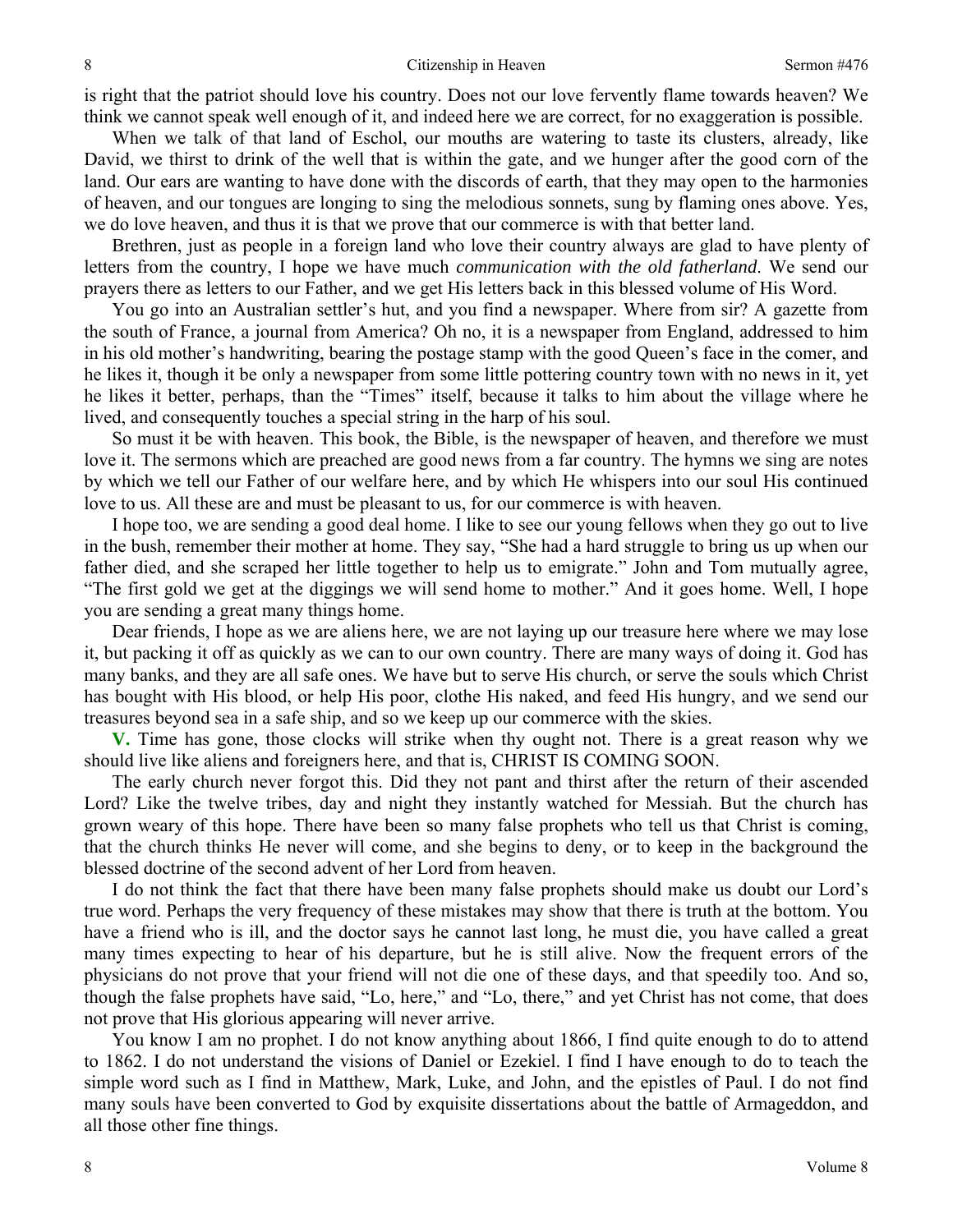is right that the patriot should love his country. Does not our love fervently flame towards heaven? We think we cannot speak well enough of it, and indeed here we are correct, for no exaggeration is possible.

When we talk of that land of Eschol, our mouths are watering to taste its clusters, already, like David, we thirst to drink of the well that is within the gate, and we hunger after the good corn of the land. Our ears are wanting to have done with the discords of earth, that they may open to the harmonies of heaven, and our tongues are longing to sing the melodious sonnets, sung by flaming ones above. Yes, we do love heaven, and thus it is that we prove that our commerce is with that better land.

Brethren, just as people in a foreign land who love their country always are glad to have plenty of letters from the country, I hope we have much *communication with the old fatherland*. We send our prayers there as letters to our Father, and we get His letters back in this blessed volume of His Word.

You go into an Australian settler's hut, and you find a newspaper. Where from sir? A gazette from the south of France, a journal from America? Oh no, it is a newspaper from England, addressed to him in his old mother's handwriting, bearing the postage stamp with the good Queen's face in the comer, and he likes it, though it be only a newspaper from some little pottering country town with no news in it, yet he likes it better, perhaps, than the "Times" itself, because it talks to him about the village where he lived, and consequently touches a special string in the harp of his soul.

So must it be with heaven. This book, the Bible, is the newspaper of heaven, and therefore we must love it. The sermons which are preached are good news from a far country. The hymns we sing are notes by which we tell our Father of our welfare here, and by which He whispers into our soul His continued love to us. All these are and must be pleasant to us, for our commerce is with heaven.

I hope too, we are sending a good deal home. I like to see our young fellows when they go out to live in the bush, remember their mother at home. They say, "She had a hard struggle to bring us up when our father died, and she scraped her little together to help us to emigrate." John and Tom mutually agree, "The first gold we get at the diggings we will send home to mother." And it goes home. Well, I hope you are sending a great many things home.

Dear friends, I hope as we are aliens here, we are not laying up our treasure here where we may lose it, but packing it off as quickly as we can to our own country. There are many ways of doing it. God has many banks, and they are all safe ones. We have but to serve His church, or serve the souls which Christ has bought with His blood, or help His poor, clothe His naked, and feed His hungry, and we send our treasures beyond sea in a safe ship, and so we keep up our commerce with the skies.

**V.** Time has gone, those clocks will strike when thy ought not. There is a great reason why we should live like aliens and foreigners here, and that is, CHRIST IS COMING SOON.

The early church never forgot this. Did they not pant and thirst after the return of their ascended Lord? Like the twelve tribes, day and night they instantly watched for Messiah. But the church has grown weary of this hope. There have been so many false prophets who tell us that Christ is coming, that the church thinks He never will come, and she begins to deny, or to keep in the background the blessed doctrine of the second advent of her Lord from heaven.

I do not think the fact that there have been many false prophets should make us doubt our Lord's true word. Perhaps the very frequency of these mistakes may show that there is truth at the bottom. You have a friend who is ill, and the doctor says he cannot last long, he must die, you have called a great many times expecting to hear of his departure, but he is still alive. Now the frequent errors of the physicians do not prove that your friend will not die one of these days, and that speedily too. And so, though the false prophets have said, "Lo, here," and "Lo, there," and yet Christ has not come, that does not prove that His glorious appearing will never arrive.

You know I am no prophet. I do not know anything about 1866, I find quite enough to do to attend to 1862. I do not understand the visions of Daniel or Ezekiel. I find I have enough to do to teach the simple word such as I find in Matthew, Mark, Luke, and John, and the epistles of Paul. I do not find many souls have been converted to God by exquisite dissertations about the battle of Armageddon, and all those other fine things.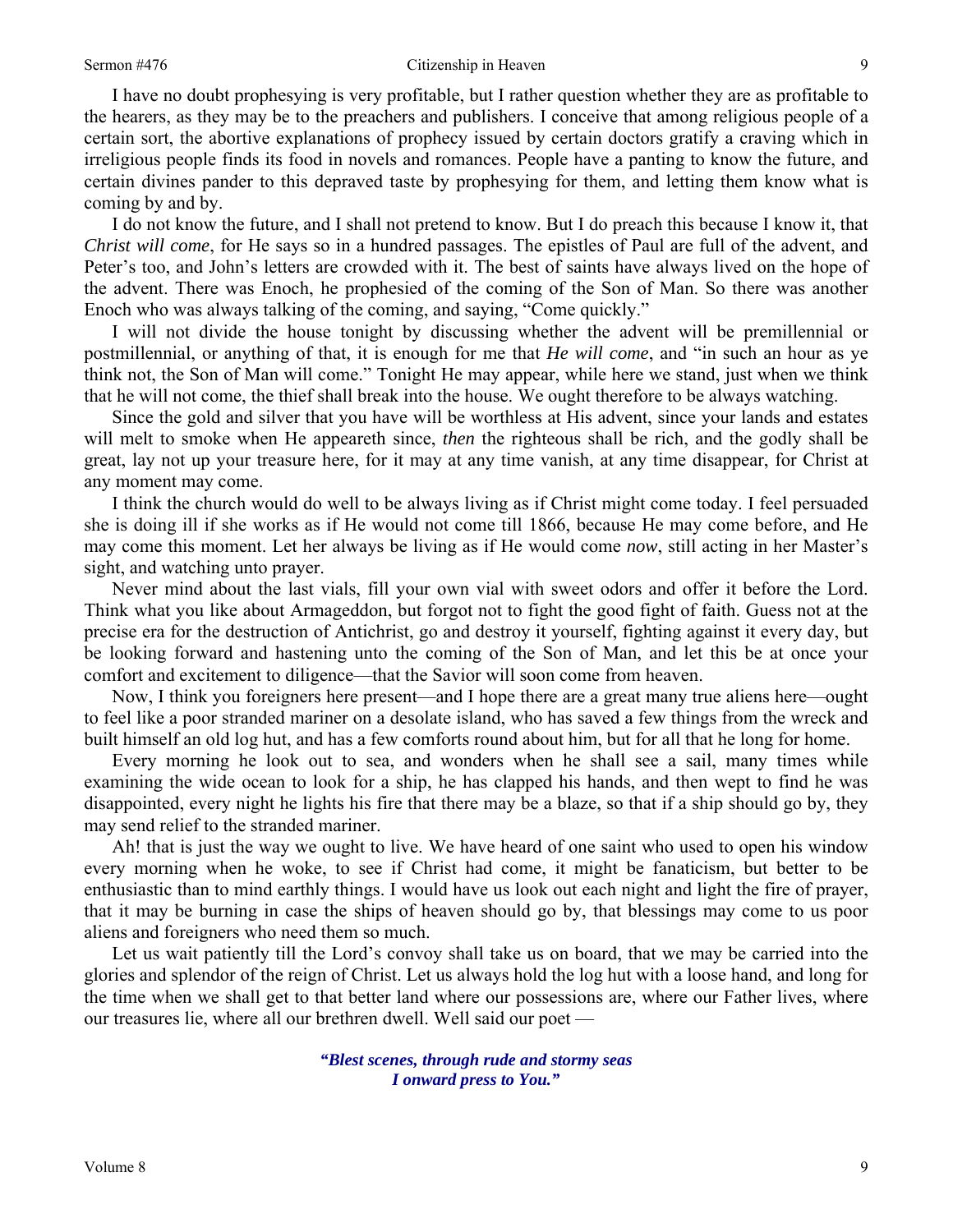#### Sermon #476 Citizenship in Heaven

I have no doubt prophesying is very profitable, but I rather question whether they are as profitable to the hearers, as they may be to the preachers and publishers. I conceive that among religious people of a certain sort, the abortive explanations of prophecy issued by certain doctors gratify a craving which in irreligious people finds its food in novels and romances. People have a panting to know the future, and certain divines pander to this depraved taste by prophesying for them, and letting them know what is coming by and by.

I do not know the future, and I shall not pretend to know. But I do preach this because I know it, that *Christ will come*, for He says so in a hundred passages. The epistles of Paul are full of the advent, and Peter's too, and John's letters are crowded with it. The best of saints have always lived on the hope of the advent. There was Enoch, he prophesied of the coming of the Son of Man. So there was another Enoch who was always talking of the coming, and saying, "Come quickly."

I will not divide the house tonight by discussing whether the advent will be premillennial or postmillennial, or anything of that, it is enough for me that *He will come*, and "in such an hour as ye think not, the Son of Man will come." Tonight He may appear, while here we stand, just when we think that he will not come, the thief shall break into the house. We ought therefore to be always watching.

Since the gold and silver that you have will be worthless at His advent, since your lands and estates will melt to smoke when He appeareth since, *then* the righteous shall be rich, and the godly shall be great, lay not up your treasure here, for it may at any time vanish, at any time disappear, for Christ at any moment may come.

I think the church would do well to be always living as if Christ might come today. I feel persuaded she is doing ill if she works as if He would not come till 1866, because He may come before, and He may come this moment. Let her always be living as if He would come *now*, still acting in her Master's sight, and watching unto prayer.

Never mind about the last vials, fill your own vial with sweet odors and offer it before the Lord. Think what you like about Armageddon, but forgot not to fight the good fight of faith. Guess not at the precise era for the destruction of Antichrist, go and destroy it yourself, fighting against it every day, but be looking forward and hastening unto the coming of the Son of Man, and let this be at once your comfort and excitement to diligence—that the Savior will soon come from heaven.

Now, I think you foreigners here present—and I hope there are a great many true aliens here—ought to feel like a poor stranded mariner on a desolate island, who has saved a few things from the wreck and built himself an old log hut, and has a few comforts round about him, but for all that he long for home.

Every morning he look out to sea, and wonders when he shall see a sail, many times while examining the wide ocean to look for a ship, he has clapped his hands, and then wept to find he was disappointed, every night he lights his fire that there may be a blaze, so that if a ship should go by, they may send relief to the stranded mariner.

Ah! that is just the way we ought to live. We have heard of one saint who used to open his window every morning when he woke, to see if Christ had come, it might be fanaticism, but better to be enthusiastic than to mind earthly things. I would have us look out each night and light the fire of prayer, that it may be burning in case the ships of heaven should go by, that blessings may come to us poor aliens and foreigners who need them so much.

Let us wait patiently till the Lord's convoy shall take us on board, that we may be carried into the glories and splendor of the reign of Christ. Let us always hold the log hut with a loose hand, and long for the time when we shall get to that better land where our possessions are, where our Father lives, where our treasures lie, where all our brethren dwell. Well said our poet —

> *"Blest scenes, through rude and stormy seas I onward press to You."*